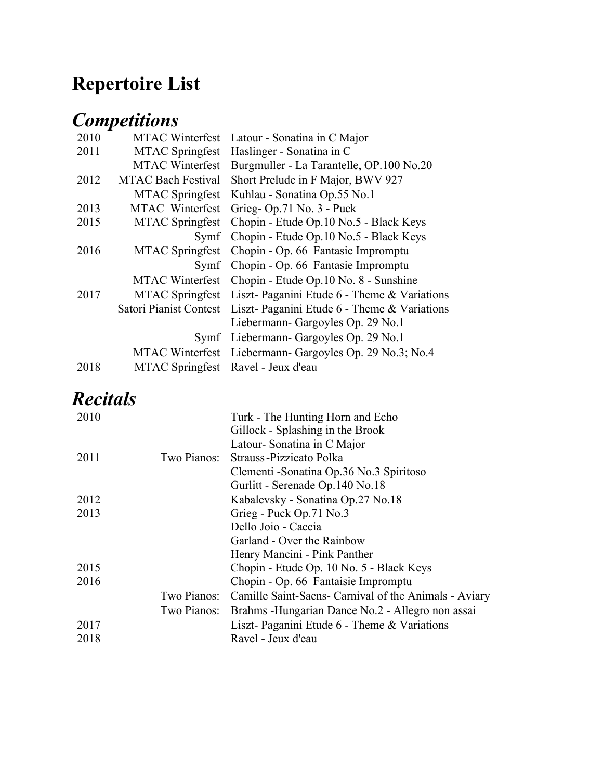## **Repertoire List**

## *Competitions*

| 2010 |                           |                                                         |
|------|---------------------------|---------------------------------------------------------|
|      | <b>MTAC Winterfest</b>    | Latour - Sonatina in C Major                            |
| 2011 | <b>MTAC</b> Springfest    | Haslinger - Sonatina in C                               |
|      | <b>MTAC Winterfest</b>    | Burgmuller - La Tarantelle, OP.100 No.20                |
| 2012 | <b>MTAC Bach Festival</b> | Short Prelude in F Major, BWV 927                       |
|      | <b>MTAC</b> Springfest    | Kuhlau - Sonatina Op.55 No.1                            |
| 2013 | MTAC Winterfest           | Grieg-Op.71 No. 3 - Puck                                |
| 2015 | <b>MTAC</b> Springfest    | Chopin - Etude Op.10 No.5 - Black Keys                  |
|      | Symf                      | Chopin - Etude Op.10 No.5 - Black Keys                  |
| 2016 | <b>MTAC</b> Springfest    | Chopin - Op. 66 Fantasie Impromptu                      |
|      | Symf                      | Chopin - Op. 66 Fantasie Impromptu                      |
|      | <b>MTAC Winterfest</b>    | Chopin - Etude Op.10 No. 8 - Sunshine                   |
| 2017 | MTAC Springfest           | Liszt- Paganini Etude 6 - Theme & Variations            |
|      | Satori Pianist Contest    | Liszt-Paganini Etude 6 - Theme & Variations             |
|      |                           | Liebermann- Gargoyles Op. 29 No.1                       |
|      |                           | Symf Liebermann-Gargoyles Op. 29 No.1                   |
|      |                           | MTAC Winterfest Liebermann- Gargoyles Op. 29 No.3; No.4 |
| 2018 |                           | MTAC Springfest Ravel - Jeux d'eau                      |
|      |                           |                                                         |

## *Recitals*

| 2010 |             | Turk - The Hunting Horn and Echo                                  |
|------|-------------|-------------------------------------------------------------------|
|      |             | Gillock - Splashing in the Brook                                  |
|      |             | Latour-Sonatina in C Major                                        |
| 2011 |             | Two Pianos: Strauss-Pizzicato Polka                               |
|      |             | Clementi - Sonatina Op.36 No.3 Spiritoso                          |
|      |             | Gurlitt - Serenade Op.140 No.18                                   |
| 2012 |             | Kabalevsky - Sonatina Op.27 No.18                                 |
| 2013 |             | Grieg - Puck Op.71 No.3                                           |
|      |             | Dello Joio - Caccia                                               |
|      |             | Garland - Over the Rainbow                                        |
|      |             | Henry Mancini - Pink Panther                                      |
| 2015 |             | Chopin - Etude Op. 10 No. 5 - Black Keys                          |
| 2016 |             | Chopin - Op. 66 Fantaisie Impromptu                               |
|      |             | Two Pianos: Camille Saint-Saens- Carnival of the Animals - Aviary |
|      | Two Pianos: | Brahms - Hungarian Dance No.2 - Allegro non assai                 |
| 2017 |             | Liszt- Paganini Etude 6 - Theme & Variations                      |
| 2018 |             | Ravel - Jeux d'eau                                                |
|      |             |                                                                   |